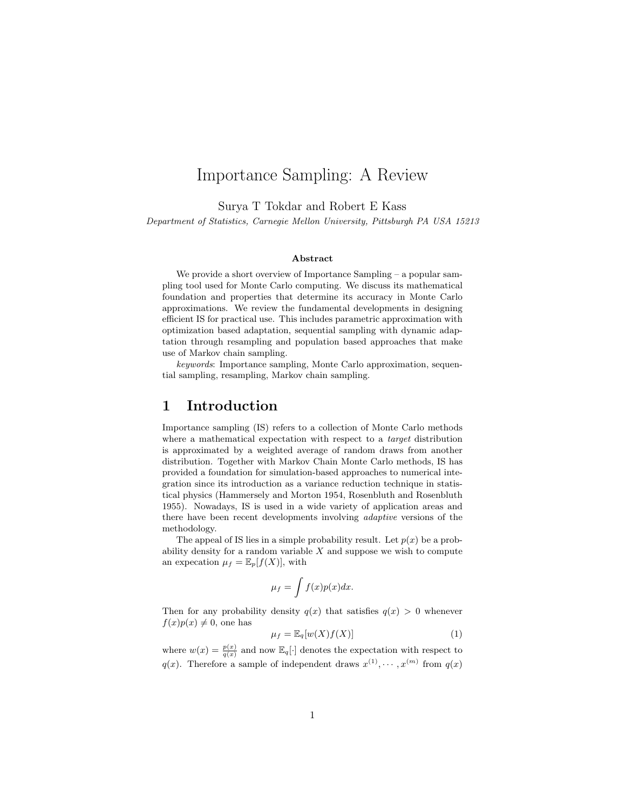# Importance Sampling: A Review

Surya T Tokdar and Robert E Kass

Department of Statistics, Carnegie Mellon University, Pittsburgh PA USA 15213

#### Abstract

We provide a short overview of Importance Sampling – a popular sampling tool used for Monte Carlo computing. We discuss its mathematical foundation and properties that determine its accuracy in Monte Carlo approximations. We review the fundamental developments in designing efficient IS for practical use. This includes parametric approximation with optimization based adaptation, sequential sampling with dynamic adaptation through resampling and population based approaches that make use of Markov chain sampling.

keywords: Importance sampling, Monte Carlo approximation, sequential sampling, resampling, Markov chain sampling.

#### 1 Introduction

Importance sampling (IS) refers to a collection of Monte Carlo methods where a mathematical expectation with respect to a *target* distribution is approximated by a weighted average of random draws from another distribution. Together with Markov Chain Monte Carlo methods, IS has provided a foundation for simulation-based approaches to numerical integration since its introduction as a variance reduction technique in statistical physics (Hammersely and Morton 1954, Rosenbluth and Rosenbluth 1955). Nowadays, IS is used in a wide variety of application areas and there have been recent developments involving adaptive versions of the methodology.

The appeal of IS lies in a simple probability result. Let  $p(x)$  be a probability density for a random variable  $X$  and suppose we wish to compute an expecation  $\mu_f = \mathbb{E}_p[f(X)]$ , with

$$
\mu_f = \int f(x)p(x)dx.
$$

Then for any probability density  $q(x)$  that satisfies  $q(x) > 0$  whenever  $f(x)p(x) \neq 0$ , one has

$$
\mu_f = \mathbb{E}_q[w(X)f(X)]\tag{1}
$$

where  $w(x) = \frac{p(x)}{q(x)}$  and now  $\mathbb{E}_q[\cdot]$  denotes the expectation with respect to  $q(x)$ . Therefore a sample of independent draws  $x^{(1)}, \dots, x^{(m)}$  from  $q(x)$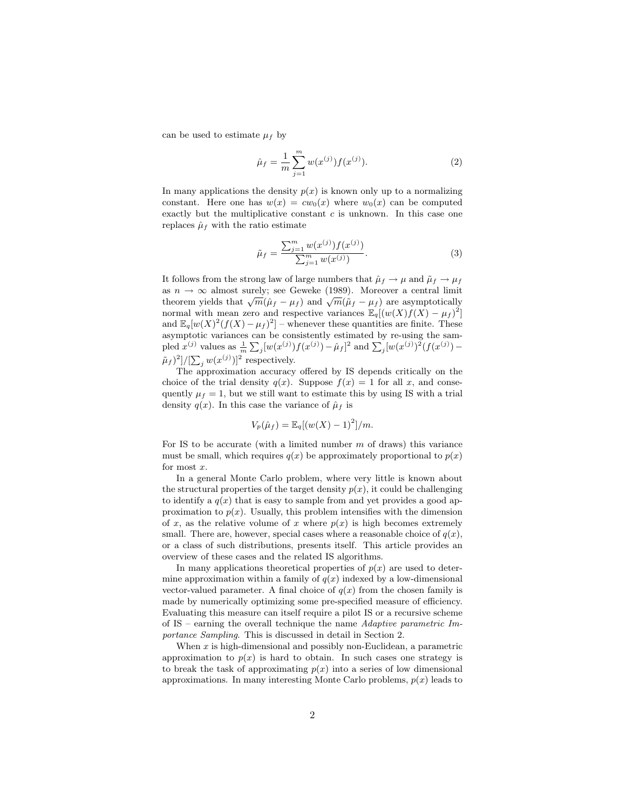can be used to estimate  $\mu_f$  by

$$
\hat{\mu}_f = \frac{1}{m} \sum_{j=1}^{m} w(x^{(j)}) f(x^{(j)}).
$$
\n(2)

In many applications the density  $p(x)$  is known only up to a normalizing constant. Here one has  $w(x) = cw_0(x)$  where  $w_0(x)$  can be computed exactly but the multiplicative constant  $c$  is unknown. In this case one replaces  $\hat{\mu}_f$  with the ratio estimate

$$
\tilde{\mu}_f = \frac{\sum_{j=1}^m w(x^{(j)}) f(x^{(j)})}{\sum_{j=1}^m w(x^{(j)})}.
$$
\n(3)

It follows from the strong law of large numbers that  $\hat{\mu}_f \to \mu$  and  $\tilde{\mu}_f \to \mu_f$ as  $n \to \infty$  almost surely; see Geweke (1989). Moreover a central limit theorem yields that  $\sqrt{m}(\hat{\mu}_f - \mu_f)$  and  $\sqrt{m}(\tilde{\mu}_f - \mu_f)$  are asymptotically normal with mean zero and respective variances  $\mathbb{E}_q[(w(X)f(X) - \mu_f)^2]$ and  $\mathbb{E}_q[w(X)^2(f(X)-\mu_f)^2]$  – whenever these quantities are finite. These asymptotic variances can be consistently estimated by re-using the sampled  $x^{(j)}$  values as  $\frac{1}{m} \sum_j [w(x^{(j)}) f(x^{(j)}) - \hat{\mu}_f]^2$  and  $\sum_j [w(x^{(j)})^2 (f(x^{(j)}) (\tilde{\mu}_f)^2]/[\sum_j w(x^{(j)})]^2$  respectively.

The approximation accuracy offered by IS depends critically on the choice of the trial density  $q(x)$ . Suppose  $f(x) = 1$  for all x, and consequently  $\mu_f = 1$ , but we still want to estimate this by using IS with a trial density  $q(x)$ . In this case the variance of  $\hat{\mu}_f$  is

$$
V_p(\hat{\mu}_f) = \mathbb{E}_q[(w(X) - 1)^2]/m.
$$

For IS to be accurate (with a limited number  $m$  of draws) this variance must be small, which requires  $q(x)$  be approximately proportional to  $p(x)$ for most x.

In a general Monte Carlo problem, where very little is known about the structural properties of the target density  $p(x)$ , it could be challenging to identify a  $q(x)$  that is easy to sample from and yet provides a good approximation to  $p(x)$ . Usually, this problem intensifies with the dimension of x, as the relative volume of x where  $p(x)$  is high becomes extremely small. There are, however, special cases where a reasonable choice of  $q(x)$ , or a class of such distributions, presents itself. This article provides an overview of these cases and the related IS algorithms.

In many applications theoretical properties of  $p(x)$  are used to determine approximation within a family of  $q(x)$  indexed by a low-dimensional vector-valued parameter. A final choice of  $q(x)$  from the chosen family is made by numerically optimizing some pre-specified measure of efficiency. Evaluating this measure can itself require a pilot IS or a recursive scheme of  $IS$  – earning the overall technique the name Adaptive parametric Importance Sampling. This is discussed in detail in Section 2.

When  $x$  is high-dimensional and possibly non-Euclidean, a parametric approximation to  $p(x)$  is hard to obtain. In such cases one strategy is to break the task of approximating  $p(x)$  into a series of low dimensional approximations. In many interesting Monte Carlo problems,  $p(x)$  leads to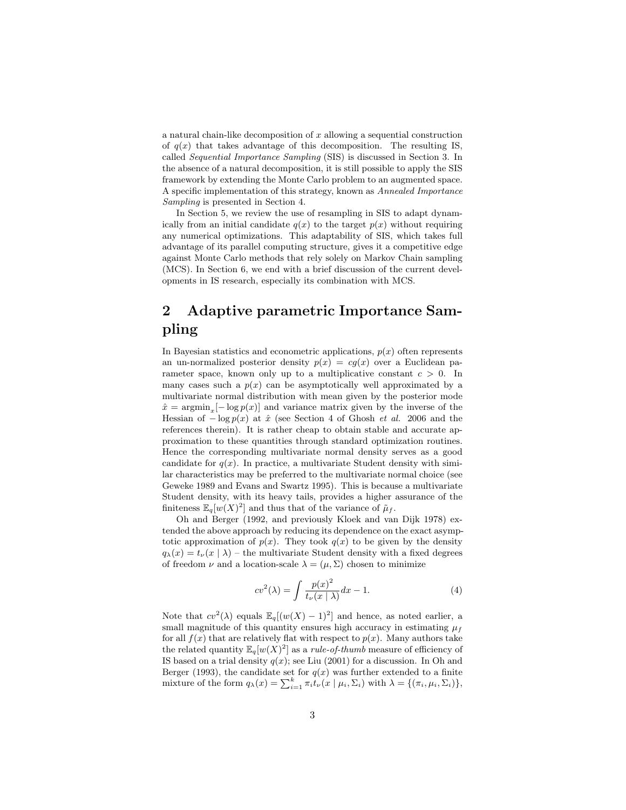a natural chain-like decomposition of  $x$  allowing a sequential construction of  $q(x)$  that takes advantage of this decomposition. The resulting IS, called Sequential Importance Sampling (SIS) is discussed in Section 3. In the absence of a natural decomposition, it is still possible to apply the SIS framework by extending the Monte Carlo problem to an augmented space. A specific implementation of this strategy, known as Annealed Importance Sampling is presented in Section 4.

In Section 5, we review the use of resampling in SIS to adapt dynamically from an initial candidate  $q(x)$  to the target  $p(x)$  without requiring any numerical optimizations. This adaptability of SIS, which takes full advantage of its parallel computing structure, gives it a competitive edge against Monte Carlo methods that rely solely on Markov Chain sampling (MCS). In Section 6, we end with a brief discussion of the current developments in IS research, especially its combination with MCS.

# 2 Adaptive parametric Importance Sampling

In Bayesian statistics and econometric applications,  $p(x)$  often represents an un-normalized posterior density  $p(x) = cg(x)$  over a Euclidean parameter space, known only up to a multiplicative constant  $c > 0$ . In many cases such a  $p(x)$  can be asymptotically well approximated by a multivariate normal distribution with mean given by the posterior mode  $\hat{x} = \operatorname{argmin}_{x}[-\log p(x)]$  and variance matrix given by the inverse of the Hessian of  $-\log p(x)$  at  $\hat{x}$  (see Section 4 of Ghosh *et al.* 2006 and the references therein). It is rather cheap to obtain stable and accurate approximation to these quantities through standard optimization routines. Hence the corresponding multivariate normal density serves as a good candidate for  $q(x)$ . In practice, a multivariate Student density with similar characteristics may be preferred to the multivariate normal choice (see Geweke 1989 and Evans and Swartz 1995). This is because a multivariate Student density, with its heavy tails, provides a higher assurance of the finiteness  $\mathbb{E}_q[w(X)^2]$  and thus that of the variance of  $\tilde{\mu}_f$ .

Oh and Berger (1992, and previously Kloek and van Dijk 1978) extended the above approach by reducing its dependence on the exact asymptotic approximation of  $p(x)$ . They took  $q(x)$  to be given by the density  $q_{\lambda}(x) = t_{\nu}(x | \lambda)$  – the multivariate Student density with a fixed degrees of freedom  $\nu$  and a location-scale  $\lambda = (\mu, \Sigma)$  chosen to minimize

$$
cv^{2}(\lambda) = \int \frac{p(x)^{2}}{t_{\nu}(x \mid \lambda)} dx - 1.
$$
 (4)

Note that  $cv^2(\lambda)$  equals  $\mathbb{E}_q[(w(X)-1)^2]$  and hence, as noted earlier, a small magnitude of this quantity ensures high accuracy in estimating  $\mu_f$ for all  $f(x)$  that are relatively flat with respect to  $p(x)$ . Many authors take the related quantity  $\mathbb{E}_q[w(X)^2]$  as a *rule-of-thumb* measure of efficiency of IS based on a trial density  $q(x)$ ; see Liu (2001) for a discussion. In Oh and Berger (1993), the candidate set for  $q(x)$  was further extended to a finite mixture of the form  $q_{\lambda}(x) = \sum_{i=1}^{k} \pi_i t_{\nu}(x \mid \mu_i, \Sigma_i)$  with  $\lambda = \{(\pi_i, \mu_i, \Sigma_i)\},$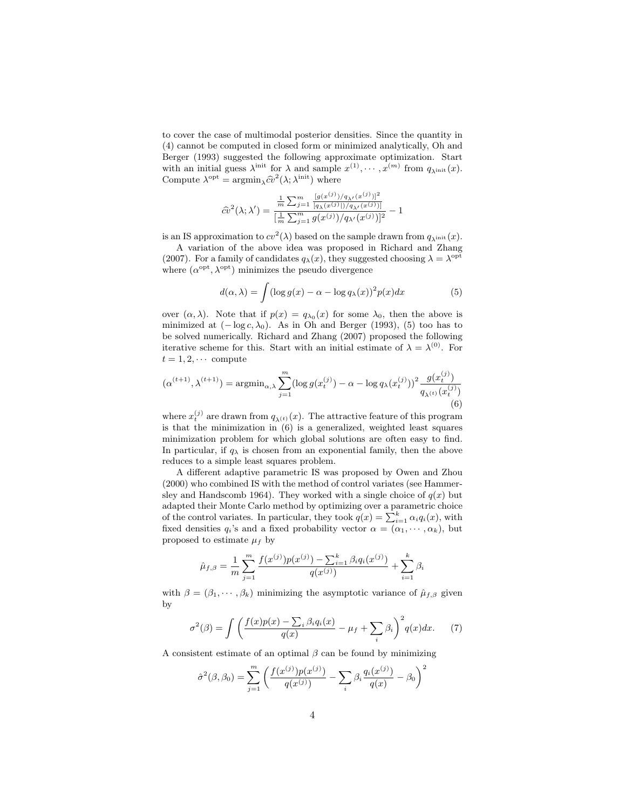to cover the case of multimodal posterior densities. Since the quantity in (4) cannot be computed in closed form or minimized analytically, Oh and Berger (1993) suggested the following approximate optimization. Start with an initial guess  $\lambda^{\text{init}}$  for  $\lambda$  and sample  $x^{(1)}, \dots, x^{(m)}$  from  $q_{\lambda^{\text{init}}}(x)$ . Compute  $\lambda^{\text{opt}} = \operatorname{argmin}_{\lambda} \hat{cv}^2(\lambda; \lambda^{\text{init}})$  where

$$
\widehat{cv}^{2}(\lambda;\lambda') = \frac{\frac{1}{m}\sum_{j=1}^{m} \frac{[g(x^{(j)})/q_{\lambda'}(x^{(j)})]^{2}}{[q_{\lambda}(x^{(j)})]/q_{\lambda'}(x^{(j)})]}}{\left[\frac{1}{m}\sum_{j=1}^{m} g(x^{(j)})/q_{\lambda'}(x^{(j)})\right]^{2}} - 1
$$

is an IS approximation to  $cv^2(\lambda)$  based on the sample drawn from  $q_{\lambda^{\text{init}}}(x)$ .

A variation of the above idea was proposed in Richard and Zhang (2007). For a family of candidates  $q_{\lambda}(x)$ , they suggested choosing  $\lambda = \lambda^{\text{opt}}$ where  $(\alpha^{\text{opt}}, \lambda^{\text{opt}})$  minimizes the pseudo divergence

$$
d(\alpha, \lambda) = \int (\log g(x) - \alpha - \log q_{\lambda}(x))^2 p(x) dx \tag{5}
$$

over  $(\alpha, \lambda)$ . Note that if  $p(x) = q_{\lambda_0}(x)$  for some  $\lambda_0$ , then the above is minimized at  $(-\log c, \lambda_0)$ . As in Oh and Berger (1993), (5) too has to be solved numerically. Richard and Zhang (2007) proposed the following iterative scheme for this. Start with an initial estimate of  $\lambda = \lambda^{(0)}$ . For  $t = 1, 2, \cdots$  compute

$$
(\alpha^{(t+1)}, \lambda^{(t+1)}) = \operatorname{argmin}_{\alpha, \lambda} \sum_{j=1}^{m} (\log g(x_t^{(j)}) - \alpha - \log q_\lambda(x_t^{(j)}))^2 \frac{g(x_t^{(j)})}{q_{\lambda^{(t)}}(x_t^{(j)})}
$$
(6)

where  $x_t^{(j)}$  are drawn from  $q_{\lambda^{(t)}}(x)$ . The attractive feature of this program is that the minimization in  $(6)$  is a generalized, weighted least squares minimization problem for which global solutions are often easy to find. In particular, if  $q_{\lambda}$  is chosen from an exponential family, then the above reduces to a simple least squares problem.

A different adaptive parametric IS was proposed by Owen and Zhou (2000) who combined IS with the method of control variates (see Hammersley and Handscomb 1964). They worked with a single choice of  $q(x)$  but adapted their Monte Carlo method by optimizing over a parametric choice of the control variates. In particular, they took  $q(x) = \sum_{i=1}^{k} \alpha_i q_i(x)$ , with fixed densities  $q_i$ 's and a fixed probability vector  $\alpha = (\alpha_1, \dots, \alpha_k)$ , but proposed to estimate  $\mu_f$  by

$$
\hat{\mu}_{f,\beta} = \frac{1}{m} \sum_{j=1}^{m} \frac{f(x^{(j)})p(x^{(j)}) - \sum_{i=1}^{k} \beta_i q_i(x^{(j)})}{q(x^{(j)})} + \sum_{i=1}^{k} \beta_i
$$

with  $\beta = (\beta_1, \dots, \beta_k)$  minimizing the asymptotic variance of  $\hat{\mu}_{f, \beta}$  given by

$$
\sigma^{2}(\beta) = \int \left( \frac{f(x)p(x) - \sum_{i} \beta_{i}q_{i}(x)}{q(x)} - \mu_{f} + \sum_{i} \beta_{i} \right)^{2} q(x) dx. \tag{7}
$$

A consistent estimate of an optimal  $\beta$  can be found by minimizing

$$
\hat{\sigma}^2(\beta,\beta_0) = \sum_{j=1}^m \left( \frac{f(x^{(j)})p(x^{(j)})}{q(x^{(j)})} - \sum_i \beta_i \frac{q_i(x^{(j)})}{q(x)} - \beta_0 \right)^2
$$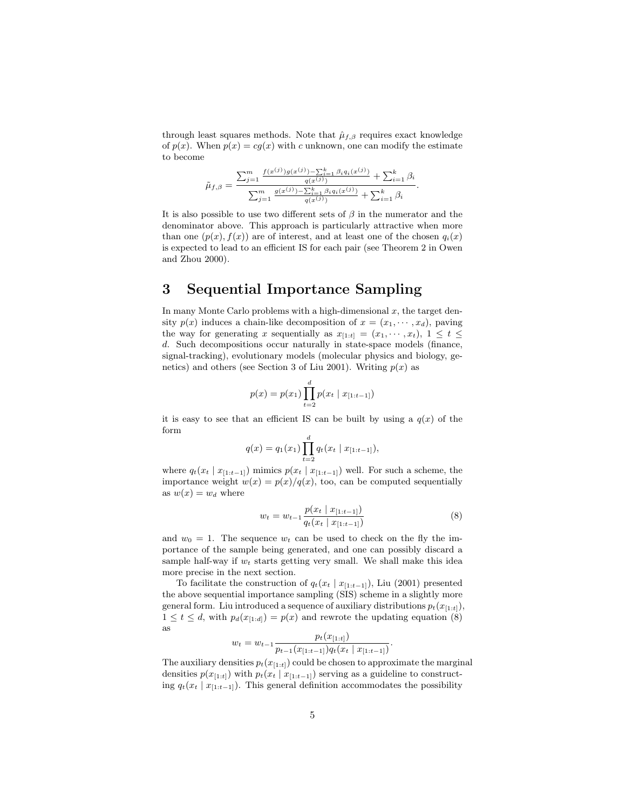through least squares methods. Note that  $\hat{\mu}_{f,\beta}$  requires exact knowledge of  $p(x)$ . When  $p(x) = cg(x)$  with c unknown, one can modify the estimate to become

$$
\tilde{\mu}_{f,\beta} = \frac{\sum_{j=1}^m \frac{f(x^{(j)})g(x^{(j)}) - \sum_{i=1}^k \beta_i q_i(x^{(j)})}{q(x^{(j)})} + \sum_{i=1}^k \beta_i}{\sum_{j=1}^m \frac{g(x^{(j)}) - \sum_{i=1}^k \beta_i q_i(x^{(j)})}{q(x^{(j)})} + \sum_{i=1}^k \beta_i}}.
$$

It is also possible to use two different sets of  $\beta$  in the numerator and the denominator above. This approach is particularly attractive when more than one  $(p(x), f(x))$  are of interest, and at least one of the chosen  $q_i(x)$ is expected to lead to an efficient IS for each pair (see Theorem 2 in Owen and Zhou 2000).

## 3 Sequential Importance Sampling

In many Monte Carlo problems with a high-dimensional  $x$ , the target density  $p(x)$  induces a chain-like decomposition of  $x = (x_1, \dots, x_d)$ , paving the way for generating x sequentially as  $x_{[1:t]} = (x_1, \dots, x_t), 1 \leq t \leq$ d. Such decompositions occur naturally in state-space models (finance, signal-tracking), evolutionary models (molecular physics and biology, genetics) and others (see Section 3 of Liu 2001). Writing  $p(x)$  as

$$
p(x) = p(x_1) \prod_{t=2}^{d} p(x_t | x_{[1:t-1]})
$$

it is easy to see that an efficient IS can be built by using a  $q(x)$  of the form

$$
q(x) = q_1(x_1) \prod_{t=2}^d q_t(x_t | x_{[1:t-1]}),
$$

where  $q_t(x_t | x_{[1:t-1]})$  mimics  $p(x_t | x_{[1:t-1]})$  well. For such a scheme, the importance weight  $w(x) = p(x)/q(x)$ , too, can be computed sequentially as  $w(x) = w_d$  where

$$
w_t = w_{t-1} \frac{p(x_t | x_{[1:t-1]})}{q_t(x_t | x_{[1:t-1]})}
$$
\n(8)

.

and  $w_0 = 1$ . The sequence  $w_t$  can be used to check on the fly the importance of the sample being generated, and one can possibly discard a sample half-way if  $w_t$  starts getting very small. We shall make this idea more precise in the next section.

To facilitate the construction of  $q_t(x_t | x_{[1:t-1]})$ , Liu (2001) presented the above sequential importance sampling (SIS) scheme in a slightly more general form. Liu introduced a sequence of auxiliary distributions  $p_t(x_{[1:t]})$ ,  $1 \leq t \leq d$ , with  $p_d(x_{[1:d]}) = p(x)$  and rewrote the updating equation (8) as  $p_1(x_1; \ldots)$ 

$$
w_t = w_{t-1} \frac{p_t(x_{[1:t]})}{p_{t-1}(x_{[1:t-1]})q_t(x_t | x_{[1:t-1]})}
$$

The auxiliary densities  $p_t(x_{[1:t]})$  could be chosen to approximate the marginal densities  $p(x_{[1:t]})$  with  $p_t(x_t | x_{[1:t-1]})$  serving as a guideline to constructing  $q_t(x_t | x_{[1:t-1]})$ . This general definition accommodates the possibility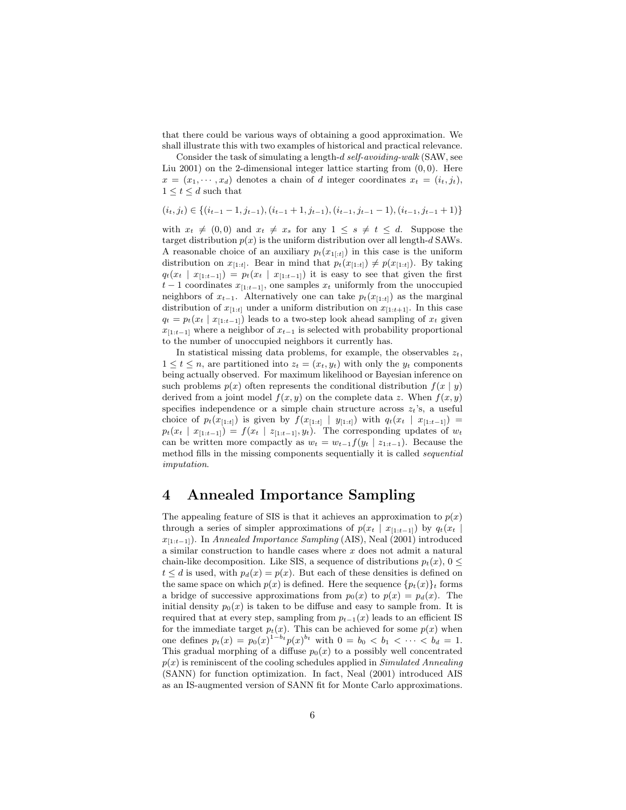that there could be various ways of obtaining a good approximation. We shall illustrate this with two examples of historical and practical relevance.

Consider the task of simulating a length-d self-avoiding-walk (SAW, see Liu 2001) on the 2-dimensional integer lattice starting from  $(0,0)$ . Here  $x = (x_1, \dots, x_d)$  denotes a chain of d integer coordinates  $x_t = (i_t, j_t)$ ,  $1 \leq t \leq d$  such that

$$
(i_t, j_t) \in \{(i_{t-1}-1, j_{t-1}), (i_{t-1}+1, j_{t-1}), (i_{t-1}, j_{t-1}-1), (i_{t-1}, j_{t-1}+1)\}
$$

with  $x_t \neq (0, 0)$  and  $x_t \neq x_s$  for any  $1 \leq s \neq t \leq d$ . Suppose the target distribution  $p(x)$  is the uniform distribution over all length-d SAWs. A reasonable choice of an auxiliary  $p_t(x_{1:t})$  in this case is the uniform distribution on  $x_{[1:t]}$ . Bear in mind that  $p_t(x_{[1:t]}) \neq p(x_{[1:t]})$ . By taking  $q_t(x_t | x_{[1:t-1]}) = p_t(x_t | x_{[1:t-1]})$  it is easy to see that given the first  $t-1$  coordinates  $x_{[1:t-1]}$ , one samples  $x_t$  uniformly from the unoccupied neighbors of  $x_{t-1}$ . Alternatively one can take  $p_t(x_{[1:t]})$  as the marginal distribution of  $x_{[1:t]}$  under a uniform distribution on  $x_{[1:t+1]}$ . In this case  $q_t = p_t(x_t | x_{[1:t-1]})$  leads to a two-step look ahead sampling of  $x_t$  given  $x_{[1:t-1]}$  where a neighbor of  $x_{t-1}$  is selected with probability proportional to the number of unoccupied neighbors it currently has.

In statistical missing data problems, for example, the observables  $z_t$ ,  $1 \leq t \leq n$ , are partitioned into  $z_t = (x_t, y_t)$  with only the  $y_t$  components being actually observed. For maximum likelihood or Bayesian inference on such problems  $p(x)$  often represents the conditional distribution  $f(x | y)$ derived from a joint model  $f(x, y)$  on the complete data z. When  $f(x, y)$ specifies independence or a simple chain structure across  $z_t$ 's, a useful choice of  $p_t(x_{[1:t]})$  is given by  $f(x_{[1:t]} | y_{[1:t]})$  with  $q_t(x_t | x_{[1:t-1]})$  =  $p_t(x_t | x_{[1:t-1]}) = f(x_t | z_{[1:t-1]}, y_t)$ . The corresponding updates of  $w_t$ can be written more compactly as  $w_t = w_{t-1} f(y_t | z_{1:t-1})$ . Because the method fills in the missing components sequentially it is called sequential imputation.

#### 4 Annealed Importance Sampling

The appealing feature of SIS is that it achieves an approximation to  $p(x)$ through a series of simpler approximations of  $p(x_t | x_{[1:t-1]})$  by  $q_t(x_t)$  $x_{[1:t-1]}$ ). In Annealed Importance Sampling (AIS), Neal (2001) introduced a similar construction to handle cases where  $x$  does not admit a natural chain-like decomposition. Like SIS, a sequence of distributions  $p_t(x)$ ,  $0 \leq$  $t \leq d$  is used, with  $p_d(x) = p(x)$ . But each of these densities is defined on the same space on which  $p(x)$  is defined. Here the sequence  $\{p_t(x)\}\$ t forms a bridge of successive approximations from  $p_0(x)$  to  $p(x) = p_d(x)$ . The initial density  $p_0(x)$  is taken to be diffuse and easy to sample from. It is required that at every step, sampling from  $p_{t-1}(x)$  leads to an efficient IS for the immediate target  $p_t(x)$ . This can be achieved for some  $p(x)$  when one defines  $p_t(x) = p_0(x)^{1-b_t} p(x)^{b_t}$  with  $0 = b_0 < b_1 < \cdots < b_d = 1$ . This gradual morphing of a diffuse  $p_0(x)$  to a possibly well concentrated  $p(x)$  is reminiscent of the cooling schedules applied in Simulated Annealing (SANN) for function optimization. In fact, Neal (2001) introduced AIS as an IS-augmented version of SANN fit for Monte Carlo approximations.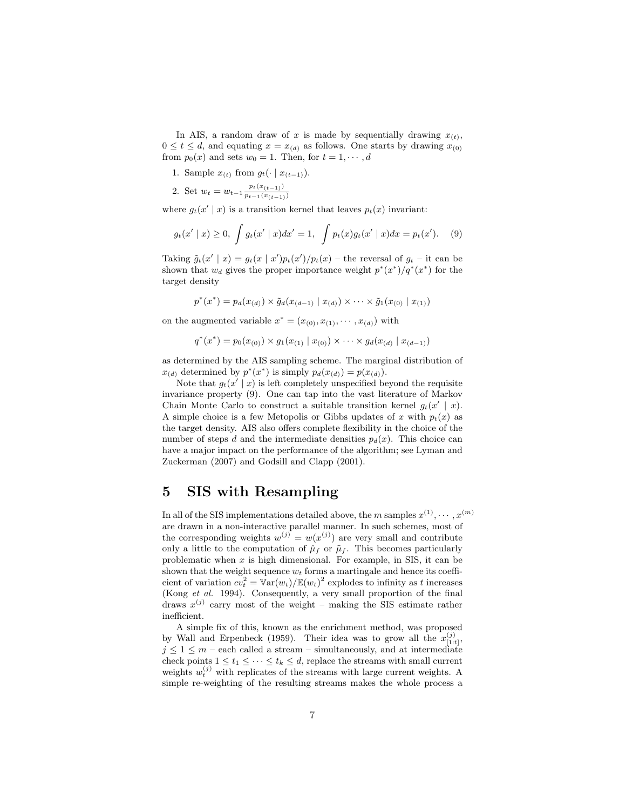In AIS, a random draw of x is made by sequentially drawing  $x_{(t)}$ ,  $0 \le t \le d$ , and equating  $x = x_{(d)}$  as follows. One starts by drawing  $x_{(0)}$ from  $p_0(x)$  and sets  $w_0 = 1$ . Then, for  $t = 1, \dots, d$ 

1. Sample  $x_{(t)}$  from  $g_t(\cdot \mid x_{(t-1)})$ .

2. Set 
$$
w_t = w_{t-1} \frac{p_t(x_{(t-1)})}{p_{t-1}(x_{(t-1)})}
$$

where  $g_t(x' | x)$  is a transition kernel that leaves  $p_t(x)$  invariant:

$$
g_t(x' \mid x) \ge 0, \int g_t(x' \mid x) dx' = 1, \int p_t(x) g_t(x' \mid x) dx = p_t(x'). \quad (9)
$$

Taking  $\tilde{g}_t(x' | x) = g_t(x | x')p_t(x')/p_t(x)$  – the reversal of  $g_t$  – it can be shown that  $w_d$  gives the proper importance weight  $p^*(x^*)/q^*(x^*)$  for the target density

$$
p^*(x^*) = p_d(x_{(d)}) \times \tilde{g}_d(x_{(d-1)} | x_{(d)}) \times \cdots \times \tilde{g}_1(x_{(0)} | x_{(1)})
$$

on the augmented variable  $x^* = (x_{(0)}, x_{(1)}, \cdots, x_{(d)})$  with

$$
q^*(x^*) = p_0(x_{(0)}) \times g_1(x_{(1)} \mid x_{(0)}) \times \cdots \times g_d(x_{(d)} \mid x_{(d-1)})
$$

as determined by the AIS sampling scheme. The marginal distribution of  $x_{(d)}$  determined by  $p^*(x^*)$  is simply  $p_d(x_{(d)}) = p(x_{(d)}).$ 

Note that  $g_t(x' | x)$  is left completely unspecified beyond the requisite invariance property (9). One can tap into the vast literature of Markov Chain Monte Carlo to construct a suitable transition kernel  $g_t(x' | x)$ . A simple choice is a few Metopolis or Gibbs updates of x with  $p_t(x)$  as the target density. AIS also offers complete flexibility in the choice of the number of steps d and the intermediate densities  $p_d(x)$ . This choice can have a major impact on the performance of the algorithm; see Lyman and Zuckerman (2007) and Godsill and Clapp (2001).

## 5 SIS with Resampling

In all of the SIS implementations detailed above, the m samples  $x^{(1)}, \dots, x^{(m)}$ are drawn in a non-interactive parallel manner. In such schemes, most of the corresponding weights  $w^{(j)} = w(x^{(j)})$  are very small and contribute only a little to the computation of  $\hat{\mu}_f$  or  $\tilde{\mu}_f$ . This becomes particularly problematic when  $x$  is high dimensional. For example, in SIS, it can be shown that the weight sequence  $w_t$  forms a martingale and hence its coefficient of variation  $cv_t^2 = \mathbb{V}\text{ar}(w_t)/\mathbb{E}(w_t)^2$  explodes to infinity as t increases (Kong et al. 1994). Consequently, a very small proportion of the final draws  $x^{(j)}$  carry most of the weight – making the SIS estimate rather inefficient.

A simple fix of this, known as the enrichment method, was proposed by Wall and Erpenbeck (1959). Their idea was to grow all the  $x_{[1:t]}^{(j)}$ ,  $j \leq 1 \leq m$  – each called a stream – simultaneously, and at intermediate check points  $1 \le t_1 \le \cdots \le t_k \le d$ , replace the streams with small current weights  $w_t^{(j)}$  with replicates of the streams with large current weights. A simple re-weighting of the resulting streams makes the whole process a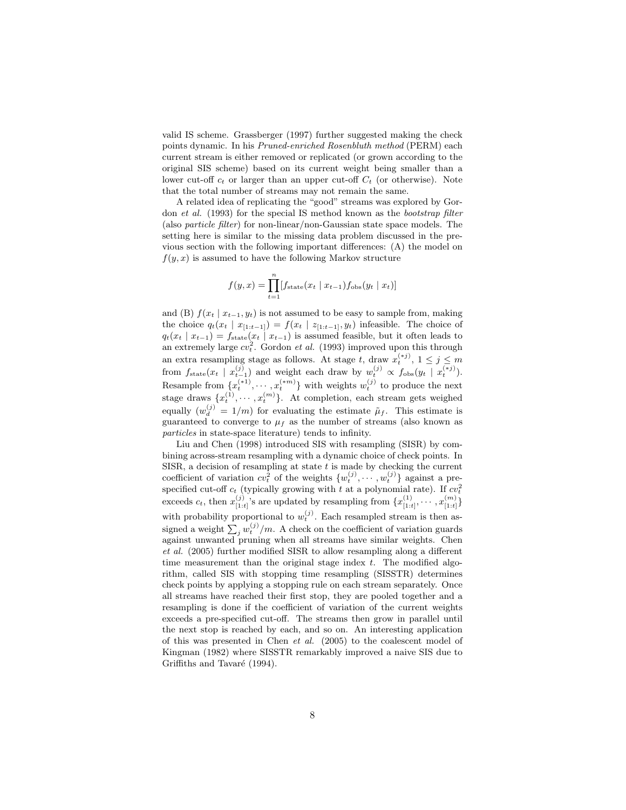valid IS scheme. Grassberger (1997) further suggested making the check points dynamic. In his Pruned-enriched Rosenbluth method (PERM) each current stream is either removed or replicated (or grown according to the original SIS scheme) based on its current weight being smaller than a lower cut-off  $c_t$  or larger than an upper cut-off  $C_t$  (or otherwise). Note that the total number of streams may not remain the same.

A related idea of replicating the "good" streams was explored by Gordon et al. (1993) for the special IS method known as the bootstrap filter (also particle filter) for non-linear/non-Gaussian state space models. The setting here is similar to the missing data problem discussed in the previous section with the following important differences: (A) the model on  $f(y, x)$  is assumed to have the following Markov structure

$$
f(y, x) = \prod_{t=1}^{n} [f_{\text{state}}(x_t | x_{t-1}) f_{\text{obs}}(y_t | x_t)]
$$

and (B)  $f(x_t | x_{t-1}, y_t)$  is not assumed to be easy to sample from, making the choice  $q_t(x_t | x_{[1:t-1]}) = f(x_t | z_{[1:t-1]}, y_t)$  infeasible. The choice of  $q_t(x_t | x_{t-1}) = f_{state}(x_t | x_{t-1})$  is assumed feasible, but it often leads to an extremely large  $cv_t^2$ . Gordon *et al.* (1993) improved upon this through an extra resampling stage as follows. At stage t, draw  $x_t^{(*j)}$ ,  $1 \le j \le m$ the from  $f_{\text{state}}(x_t \mid x_{t-1}^{(j)})$  and weight each draw by  $w_t^{(j)} \propto f_{\text{obs}}(y_t \mid x_t^{(*j)})$ . Resample from  $\{x_t^{(*1)}, \dots, x_t^{(*m)}\}$  with weights  $w_t^{(j)}$  to produce the next stage draws  $\{x_t^{(1)}, \dots, x_t^{(m)}\}$ . At completion, each stream gets weighed equally  $(w_d^{(j)} = 1/m)$  for evaluating the estimate  $\tilde{\mu}_f$ . This estimate is guaranteed to converge to  $\mu_f$  as the number of streams (also known as particles in state-space literature) tends to infinity.

Liu and Chen (1998) introduced SIS with resampling (SISR) by combining across-stream resampling with a dynamic choice of check points. In SISR, a decision of resampling at state  $t$  is made by checking the current coefficient of variation  $cv_t^2$  of the weights  $\{w_t^{(j)}, \cdots, w_t^{(j)}\}$  against a prespecified cut-off  $c_t$  (typically growing with t at a polynomial rate). If  $cv_t^2$ exceeds  $c_t$ , then  $x_{[1:t]}^{(j)}$ 's are updated by resampling from  $\{x_{[1:t]}^{(1)}, \cdots, x_{[1:t]}^{(m)}\}$ with probability proportional to  $w_t^{(j)}$ . Each resampled stream is then assigned a weight  $\sum_j w_t^{(j)} / m$ . A check on the coefficient of variation guards against unwanted pruning when all streams have similar weights. Chen et al. (2005) further modified SISR to allow resampling along a different time measurement than the original stage index  $t$ . The modified algorithm, called SIS with stopping time resampling (SISSTR) determines check points by applying a stopping rule on each stream separately. Once all streams have reached their first stop, they are pooled together and a resampling is done if the coefficient of variation of the current weights exceeds a pre-specified cut-off. The streams then grow in parallel until the next stop is reached by each, and so on. An interesting application of this was presented in Chen et al. (2005) to the coalescent model of Kingman (1982) where SISSTR remarkably improved a naive SIS due to Griffiths and Tavaré (1994).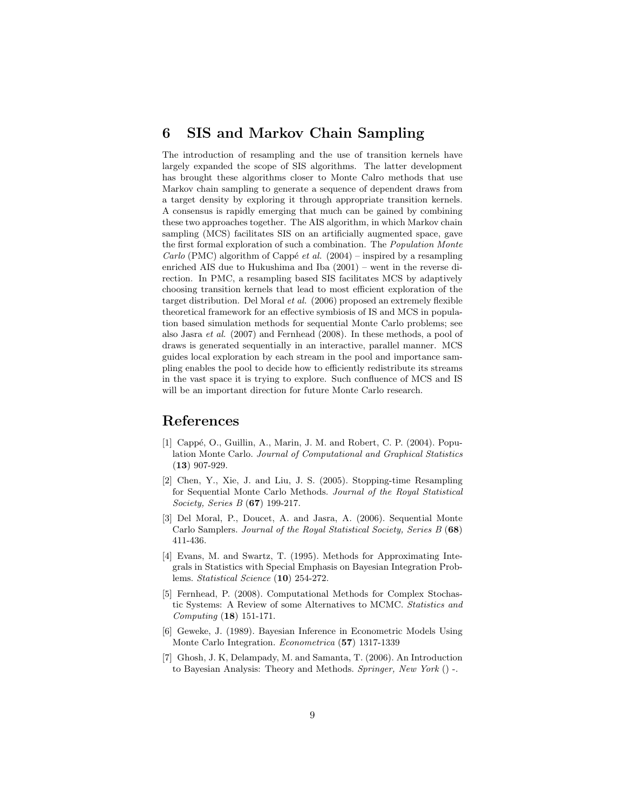### 6 SIS and Markov Chain Sampling

The introduction of resampling and the use of transition kernels have largely expanded the scope of SIS algorithms. The latter development has brought these algorithms closer to Monte Calro methods that use Markov chain sampling to generate a sequence of dependent draws from a target density by exploring it through appropriate transition kernels. A consensus is rapidly emerging that much can be gained by combining these two approaches together. The AIS algorithm, in which Markov chain sampling (MCS) facilitates SIS on an artificially augmented space, gave the first formal exploration of such a combination. The Population Monte *Carlo* (PMC) algorithm of Cappé *et al.* (2004) – inspired by a resampling enriched AIS due to Hukushima and Iba (2001) – went in the reverse direction. In PMC, a resampling based SIS facilitates MCS by adaptively choosing transition kernels that lead to most efficient exploration of the target distribution. Del Moral et al. (2006) proposed an extremely flexible theoretical framework for an effective symbiosis of IS and MCS in population based simulation methods for sequential Monte Carlo problems; see also Jasra et al. (2007) and Fernhead (2008). In these methods, a pool of draws is generated sequentially in an interactive, parallel manner. MCS guides local exploration by each stream in the pool and importance sampling enables the pool to decide how to efficiently redistribute its streams in the vast space it is trying to explore. Such confluence of MCS and IS will be an important direction for future Monte Carlo research.

## References

- [1] Cappé, O., Guillin, A., Marin, J. M. and Robert, C. P. (2004). Population Monte Carlo. Journal of Computational and Graphical Statistics (13) 907-929.
- [2] Chen, Y., Xie, J. and Liu, J. S. (2005). Stopping-time Resampling for Sequential Monte Carlo Methods. Journal of the Royal Statistical Society, Series B (67) 199-217.
- [3] Del Moral, P., Doucet, A. and Jasra, A. (2006). Sequential Monte Carlo Samplers. Journal of the Royal Statistical Society, Series B (68) 411-436.
- [4] Evans, M. and Swartz, T. (1995). Methods for Approximating Integrals in Statistics with Special Emphasis on Bayesian Integration Problems. Statistical Science (10) 254-272.
- [5] Fernhead, P. (2008). Computational Methods for Complex Stochastic Systems: A Review of some Alternatives to MCMC. Statistics and Computing (18) 151-171.
- [6] Geweke, J. (1989). Bayesian Inference in Econometric Models Using Monte Carlo Integration. Econometrica (57) 1317-1339
- [7] Ghosh, J. K, Delampady, M. and Samanta, T. (2006). An Introduction to Bayesian Analysis: Theory and Methods. Springer, New York () -.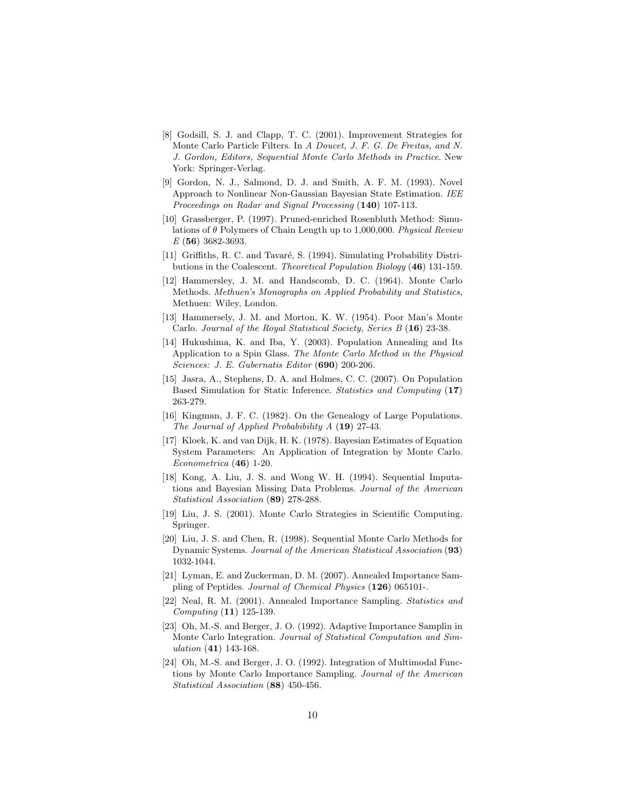- [8] Godsill, S. J. and Clapp, T. C. (2001). Improvement Strategies for Monte Carlo Particle Filters. In A Doucet, J. F. G. De Freitas, and N. J. Gordon, Editors, Sequential Monte Carlo Methods in Practice. New York: Springer-Verlag.
- [9] Gordon, N. J., Salmond, D. J. and Smith, A. F. M. (1993). Novel Approach to Nonlinear Non-Gaussian Bayesian State Estimation. IEE Proceedings on Radar and Signal Processing (140) 107-113.
- [10] Grassberger, P. (1997). Pruned-enriched Rosenbluth Method: Simulations of  $\theta$  Polymers of Chain Length up to 1,000,000. Physical Review  $E($ **56** $)$  3682-3693.
- [11] Griffiths, R. C. and Tavaré, S. (1994). Simulating Probability Distributions in the Coalescent. Theoretical Population Biology (46) 131-159.
- [12] Hammersley, J. M. and Handscomb, D. C. (1964). Monte Carlo Methods. Methuen's Monographs on Applied Probability and Statistics, Methuen: Wiley, London.
- [13] Hammersely, J. M. and Morton, K. W. (1954). Poor Man's Monte Carlo. Journal of the Royal Statistical Society, Series  $B(16)$  23-38.
- [14] Hukushima, K. and Iba, Y. (2003). Population Annealing and Its Application to a Spin Glass. The Monte Carlo Method in the Physical Sciences: J. E. Gubernatis Editor (690) 200-206.
- [15] Jasra, A., Stephens, D. A. and Holmes, C. C. (2007). On Population Based Simulation for Static Inference. Statistics and Computing (17) 263-279.
- [16] Kingman, J. F. C. (1982). On the Genealogy of Large Populations. The Journal of Applied Probabibility A (19) 27-43.
- [17] Kloek, K. and van Dijk, H. K. (1978). Bayesian Estimates of Equation System Parameters: An Application of Integration by Monte Carlo.  $Econometrica (46) 1-20.$
- [18] Kong, A. Liu, J. S. and Wong W. H. (1994). Sequential Imputations and Bayesian Missing Data Problems. Journal of the American Statistical Association (89) 278-288.
- [19] Liu, J. S. (2001). Monte Carlo Strategies in Scientific Computing. Springer.
- [20] Liu, J. S. and Chen, R. (1998). Sequential Monte Carlo Methods for Dynamic Systems. Journal of the American Statistical Association (93) 1032-1044.
- [21] Lyman, E. and Zuckerman, D. M. (2007). Annealed Importance Sampling of Peptides. Journal of Chemical Physics (126) 065101-.
- [22] Neal, R. M. (2001). Annealed Importance Sampling. Statistics and Computing (11) 125-139.
- [23] Oh, M.-S. and Berger, J. O. (1992). Adaptive Importance Samplin in Monte Carlo Integration. Journal of Statistical Computation and Simulation (41) 143-168.
- [24] Oh, M.-S. and Berger, J. O. (1992). Integration of Multimodal Functions by Monte Carlo Importance Sampling. Journal of the American Statistical Association (88) 450-456.